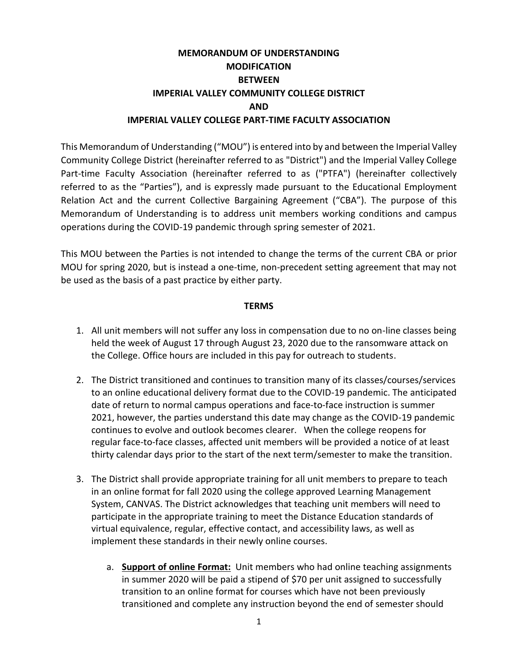### **MEMORANDUM OF UNDERSTANDING MODIFICATION BETWEEN IMPERIAL VALLEY COMMUNITY COLLEGE DISTRICT AND IMPERIAL VALLEY COLLEGE PART-TIME FACULTY ASSOCIATION**

This Memorandum of Understanding ("MOU") is entered into by and between the Imperial Valley Community College District (hereinafter referred to as "District") and the Imperial Valley College Part-time Faculty Association (hereinafter referred to as ("PTFA") (hereinafter collectively referred to as the "Parties"), and is expressly made pursuant to the Educational Employment Relation Act and the current Collective Bargaining Agreement ("CBA"). The purpose of this Memorandum of Understanding is to address unit members working conditions and campus operations during the COVID-19 pandemic through spring semester of 2021.

This MOU between the Parties is not intended to change the terms of the current CBA or prior MOU for spring 2020, but is instead a one-time, non-precedent setting agreement that may not be used as the basis of a past practice by either party.

#### **TERMS**

- 1. All unit members will not suffer any loss in compensation due to no on-line classes being held the week of August 17 through August 23, 2020 due to the ransomware attack on the College. Office hours are included in this pay for outreach to students.
- 2. The District transitioned and continues to transition many of its classes/courses/services to an online educational delivery format due to the COVID-19 pandemic. The anticipated date of return to normal campus operations and face-to-face instruction is summer 2021, however, the parties understand this date may change as the COVID-19 pandemic continues to evolve and outlook becomes clearer. When the college reopens for regular face-to-face classes, affected unit members will be provided a notice of at least thirty calendar days prior to the start of the next term/semester to make the transition.
- 3. The District shall provide appropriate training for all unit members to prepare to teach in an online format for fall 2020 using the college approved Learning Management System, CANVAS. The District acknowledges that teaching unit members will need to participate in the appropriate training to meet the Distance Education standards of virtual equivalence, regular, effective contact, and accessibility laws, as well as implement these standards in their newly online courses.
	- a. **Support of online Format:** Unit members who had online teaching assignments in summer 2020 will be paid a stipend of \$70 per unit assigned to successfully transition to an online format for courses which have not been previously transitioned and complete any instruction beyond the end of semester should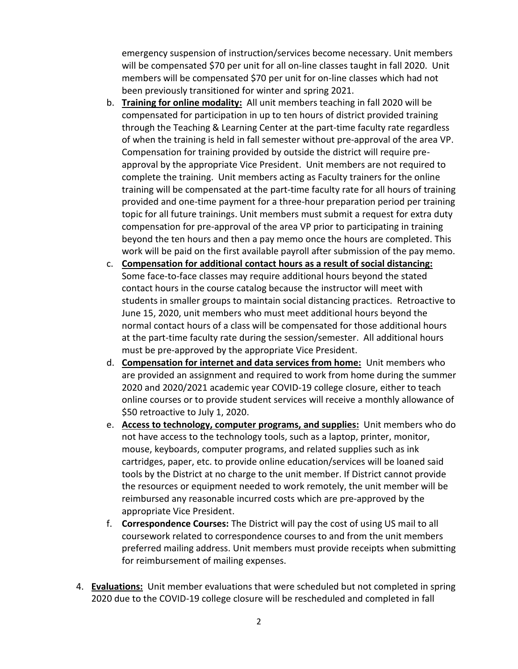emergency suspension of instruction/services become necessary. Unit members will be compensated \$70 per unit for all on-line classes taught in fall 2020. Unit members will be compensated \$70 per unit for on-line classes which had not been previously transitioned for winter and spring 2021.

- b. **Training for online modality:** All unit members teaching in fall 2020 will be compensated for participation in up to ten hours of district provided training through the Teaching & Learning Center at the part-time faculty rate regardless of when the training is held in fall semester without pre-approval of the area VP. Compensation for training provided by outside the district will require preapproval by the appropriate Vice President. Unit members are not required to complete the training. Unit members acting as Faculty trainers for the online training will be compensated at the part-time faculty rate for all hours of training provided and one-time payment for a three-hour preparation period per training topic for all future trainings. Unit members must submit a request for extra duty compensation for pre-approval of the area VP prior to participating in training beyond the ten hours and then a pay memo once the hours are completed. This work will be paid on the first available payroll after submission of the pay memo.
- c. **Compensation for additional contact hours as a result of social distancing:** Some face-to-face classes may require additional hours beyond the stated contact hours in the course catalog because the instructor will meet with students in smaller groups to maintain social distancing practices. Retroactive to June 15, 2020, unit members who must meet additional hours beyond the normal contact hours of a class will be compensated for those additional hours at the part-time faculty rate during the session/semester. All additional hours must be pre-approved by the appropriate Vice President.
- d. **Compensation for internet and data services from home:** Unit members who are provided an assignment and required to work from home during the summer 2020 and 2020/2021 academic year COVID-19 college closure, either to teach online courses or to provide student services will receive a monthly allowance of \$50 retroactive to July 1, 2020.
- e. **Access to technology, computer programs, and supplies:** Unit members who do not have access to the technology tools, such as a laptop, printer, monitor, mouse, keyboards, computer programs, and related supplies such as ink cartridges, paper, etc. to provide online education/services will be loaned said tools by the District at no charge to the unit member. If District cannot provide the resources or equipment needed to work remotely, the unit member will be reimbursed any reasonable incurred costs which are pre-approved by the appropriate Vice President.
- f. **Correspondence Courses:** The District will pay the cost of using US mail to all coursework related to correspondence courses to and from the unit members preferred mailing address. Unit members must provide receipts when submitting for reimbursement of mailing expenses.
- 4. **Evaluations:** Unit member evaluations that were scheduled but not completed in spring 2020 due to the COVID-19 college closure will be rescheduled and completed in fall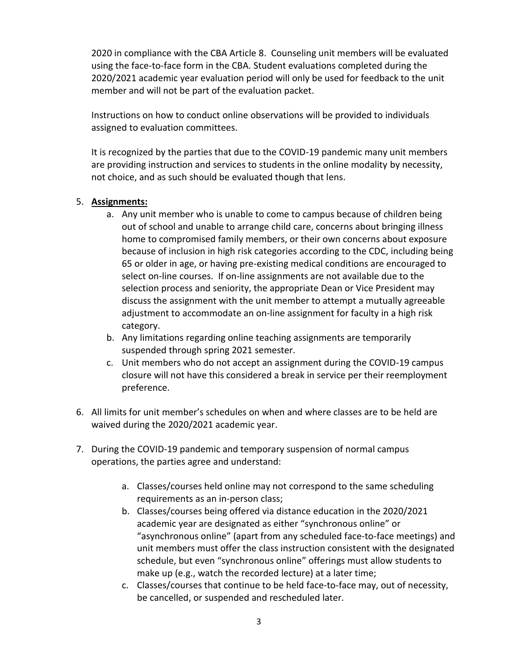2020 in compliance with the CBA Article 8. Counseling unit members will be evaluated using the face-to-face form in the CBA. Student evaluations completed during the 2020/2021 academic year evaluation period will only be used for feedback to the unit member and will not be part of the evaluation packet.

Instructions on how to conduct online observations will be provided to individuals assigned to evaluation committees.

It is recognized by the parties that due to the COVID-19 pandemic many unit members are providing instruction and services to students in the online modality by necessity, not choice, and as such should be evaluated though that lens.

#### 5. **Assignments:**

- a. Any unit member who is unable to come to campus because of children being out of school and unable to arrange child care, concerns about bringing illness home to compromised family members, or their own concerns about exposure because of inclusion in high risk categories according to the CDC, including being 65 or older in age, or having pre-existing medical conditions are encouraged to select on-line courses. If on-line assignments are not available due to the selection process and seniority, the appropriate Dean or Vice President may discuss the assignment with the unit member to attempt a mutually agreeable adjustment to accommodate an on-line assignment for faculty in a high risk category.
- b. Any limitations regarding online teaching assignments are temporarily suspended through spring 2021 semester.
- c. Unit members who do not accept an assignment during the COVID-19 campus closure will not have this considered a break in service per their reemployment preference.
- 6. All limits for unit member's schedules on when and where classes are to be held are waived during the 2020/2021 academic year.
- 7. During the COVID-19 pandemic and temporary suspension of normal campus operations, the parties agree and understand:
	- a. Classes/courses held online may not correspond to the same scheduling requirements as an in-person class;
	- b. Classes/courses being offered via distance education in the 2020/2021 academic year are designated as either "synchronous online" or "asynchronous online" (apart from any scheduled face-to-face meetings) and unit members must offer the class instruction consistent with the designated schedule, but even "synchronous online" offerings must allow students to make up (e.g., watch the recorded lecture) at a later time;
	- c. Classes/courses that continue to be held face-to-face may, out of necessity, be cancelled, or suspended and rescheduled later.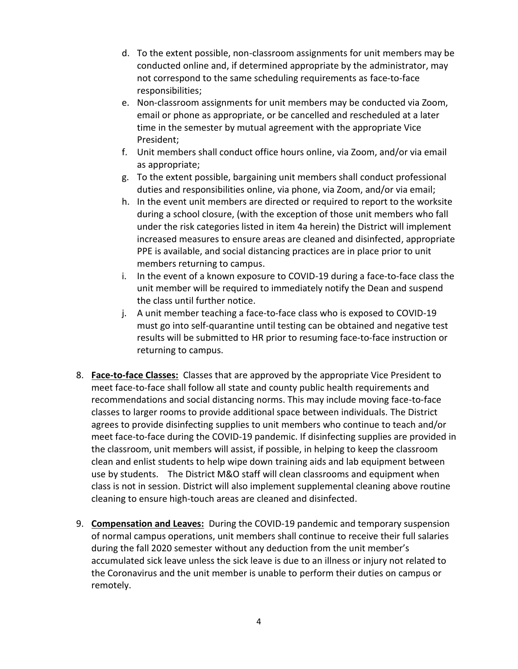- d. To the extent possible, non-classroom assignments for unit members may be conducted online and, if determined appropriate by the administrator, may not correspond to the same scheduling requirements as face-to-face responsibilities;
- e. Non-classroom assignments for unit members may be conducted via Zoom, email or phone as appropriate, or be cancelled and rescheduled at a later time in the semester by mutual agreement with the appropriate Vice President;
- f. Unit members shall conduct office hours online, via Zoom, and/or via email as appropriate;
- g. To the extent possible, bargaining unit members shall conduct professional duties and responsibilities online, via phone, via Zoom, and/or via email;
- h. In the event unit members are directed or required to report to the worksite during a school closure, (with the exception of those unit members who fall under the risk categories listed in item 4a herein) the District will implement increased measures to ensure areas are cleaned and disinfected, appropriate PPE is available, and social distancing practices are in place prior to unit members returning to campus.
- i. In the event of a known exposure to COVID-19 during a face-to-face class the unit member will be required to immediately notify the Dean and suspend the class until further notice.
- j. A unit member teaching a face-to-face class who is exposed to COVID-19 must go into self-quarantine until testing can be obtained and negative test results will be submitted to HR prior to resuming face-to-face instruction or returning to campus.
- 8. **Face-to-face Classes:** Classes that are approved by the appropriate Vice President to meet face-to-face shall follow all state and county public health requirements and recommendations and social distancing norms. This may include moving face-to-face classes to larger rooms to provide additional space between individuals. The District agrees to provide disinfecting supplies to unit members who continue to teach and/or meet face-to-face during the COVID-19 pandemic. If disinfecting supplies are provided in the classroom, unit members will assist, if possible, in helping to keep the classroom clean and enlist students to help wipe down training aids and lab equipment between use by students. The District M&O staff will clean classrooms and equipment when class is not in session. District will also implement supplemental cleaning above routine cleaning to ensure high-touch areas are cleaned and disinfected.
- 9. **Compensation and Leaves:** During the COVID-19 pandemic and temporary suspension of normal campus operations, unit members shall continue to receive their full salaries during the fall 2020 semester without any deduction from the unit member's accumulated sick leave unless the sick leave is due to an illness or injury not related to the Coronavirus and the unit member is unable to perform their duties on campus or remotely.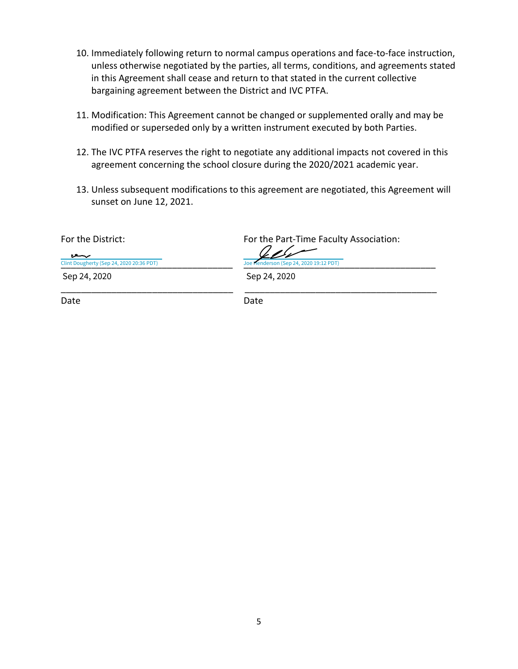- 10. Immediately following return to normal campus operations and face-to-face instruction, unless otherwise negotiated by the parties, all terms, conditions, and agreements stated in this Agreement shall cease and return to that stated in the current collective bargaining agreement between the District and IVC PTFA.
- 11. Modification: This Agreement cannot be changed or supplemented orally and may be modified or superseded only by a written instrument executed by both Parties.
- 12. The IVC PTFA reserves the right to negotiate any additional impacts not covered in this agreement concerning the school closure during the 2020/2021 academic year.
- 13. Unless subsequent modifications to this agreement are negotiated, this Agreement will sunset on June 12, 2021.

For the District: For the Part-Time Faculty Association:

لعر [\\_\\_\\_\\_\\_\\_\\_\\_\\_\\_\\_\\_\\_\\_\\_\\_\\_\\_\\_\\_\\_\\_\\_\\_\\_\\_\\_\\_\\_\\_\\_\\_\\_\\_](https://imperialedu.na1.documents.adobe.com/verifier?tx=CBJCHBCAABAA1SLEfUdnrqEjS1FSOyydmiY03PIBUPKA) [\\_\\_\\_\\_\\_\\_\\_\\_\\_\\_\\_\\_\\_\\_\\_\\_\\_\\_\\_\\_\\_\\_\\_\\_\\_\\_\\_\\_\\_\\_\\_\\_\\_\\_\\_\\_\\_\\_](https://imperialedu.na1.documents.adobe.com/verifier?tx=CBJCHBCAABAA1SLEfUdnrqEjS1FSOyydmiY03PIBUPKA) Clint Dougherty (Sep 24, 2020 20:36 PDT) Sep 24, 2020

Joe Henderson (Sep 24, 2020 19:12 PDT)

\_\_\_\_\_\_\_\_\_\_\_\_\_\_\_\_\_\_\_\_\_\_\_\_\_\_\_\_\_\_\_\_\_\_ \_\_\_\_\_\_\_\_\_\_\_\_\_\_\_\_\_\_\_\_\_\_\_\_\_\_\_\_\_\_\_\_\_\_\_\_\_\_ Sep 24, 2020

Date **Date** Date Date